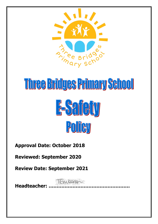

# Three Bridges Primary School **E-Safety**



**Approval Date: October 2018**

**Reviewed: September 2020**

**Review Date: September 2021**

**Headteacher: ……………………………………………**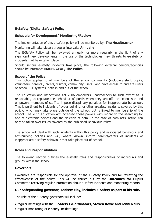# **E-Safety (Digital Safety) Policy**

## **Schedule for Development/ Monitoring/Review**

The implementation of this e-safety policy will be monitored by: **The Headteacher**

Monitoring will take place at regular intervals: **Annually**

The E-Safety Policy will be reviewed annually, or more regularly in the light of any significant new developments in the use of the technologies, new threats to e-safety or incidents that have taken place.

Should serious e-safety incidents take place, the following external persons/agencies should be informed: **MASH, CEOP, The Police**

#### **Scope of the Policy**

This policy applies to all members of the school community (including staff, pupils, volunteers, parents / carers, visitors, community users) who have access to and are users of school ICT systems, both in and out of the school.

The Education and Inspections Act 2006 empowers Headteachers to such extent as is reasonable, to regulate the behaviour of pupils when they are off the school site and empowers members of staff to impose disciplinary penalties for inappropriate behaviour. This is pertinent to incidents of cyber bullying, or other e-safety incidents covered by this policy, which may take place outside of the school, but is linked to membership of the school. The 2011 Education Act increased these powers with regard to the searching for and of electronic devices and the deletion of data. In the case of both acts, action can only be taken over issues covered by the published Behaviour Policy.

The school will deal with such incidents within this policy and associated behaviour and anti-bullying policies and will, where known, inform parents/carers of incidents of inappropriate e-safety behaviour that take place out of school.

#### **Roles and Responsibilities**

The following section outlines the e-safety roles and responsibilities of individuals and groups within the school:

## **Governors:**

Governors are responsible for the approval of the E-Safety Policy and for reviewing the effectiveness of the policy. This will be carried out by the **Outcomes for Pupils** Committee receiving regular information about e-safety incidents and monitoring reports.

## **Our Safeguarding governor, Andrew Eley, includes E-Safety as part of his role.**

The role of the E-Safety governors will include:

- regular meetings with the **E-Safety Co-ordinators, Steven Rowe and Jenni Reilly**
- regular monitoring of e-safety incident logs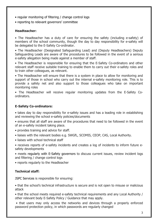- regular monitoring of filtering / change control logs
- reporting to relevant governors' committee

## **Headteacher:**

• The Headteacher has a duty of care for ensuring the safety (including e-safety) of members of the school community, though the day to day responsibility for e-safety will be delegated to the E-Safety Co-ordinator.

• The Headteacher (Designated Safeguarding Lead) and (Deputy Headteachers) Deputy Safeguarding Leads are aware of the procedures to be followed in the event of a serious e-safety allegation being made against a member of staff.

• The Headteacher is responsible for ensuring that the E-Safety Co-ordinators and other relevant staff receive suitable training to enable them to carry out their e-safety roles and to train other colleagues, as relevant.

• The Headteacher will ensure that there is a system in place to allow for monitoring and support of those in school who carry out the internal e-safety monitoring role. This is to provide a safety net and also support to those colleagues who take on important monitoring roles

• The Headteacher will receive regular monitoring updates from the E-Safety Coordinators.

## **E-Safety Co-ordinators:**

• takes day to day responsibility for e-safety issues and has a leading role in establishing and reviewing the school e-safety policies/documents

• ensures that all staff are aware of the procedures that need to be followed in the event of an e-safety incident taking place.

- provides training and advice for staff.
- liaises with the relevant bodies e.g. SWGfL, SCOMIS, CEOP, CAS, Local Authority.
- liaises with school technical staff

• receives reports of e-safety incidents and creates a log of incidents to inform future esafety developments

• meets regularly with E-Safety governors to discuss current issues, review incident logs and filtering / change control logs

• reports regularly to the Headteacher

## **Technical staff:**

JSPC Services is responsible for ensuring:

• that the school's technical infrastructure is secure and is not open to misuse or malicious attack

• that the school meets required e-safety technical requirements and any Local Authority / other relevant body E-Safety Policy / Guidance that may apply.

• that users may only access the networks and devices through a properly enforced password protection policy, in which passwords are regularly changed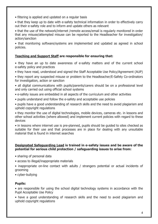- filtering is applied and updated on a regular basis
- that they keep up to date with e-safety technical information in order to effectively carry out their e-safety role and to inform and update others as relevant
- that the use of the network/internet /remote access/email is regularly monitored in order that any misuse/attempted misuse can be reported to the Headteacher for investigation/ action/sanction

• that monitoring software/systems are implemented and updated as agreed in school policies.

## **Teaching and Support Staff are responsible for ensuring that:**

- they have an up to date awareness of e-safety matters and of the current school e-safety policy and practices
- they have read, understood and signed the Staff Acceptable Use Policy/Agreement (AUP)
- they report any suspected misuse or problem to the Headteacher/E-Safety Co-ordinators for investigation, action or sanction
- all digital communications with pupils/parents/carers should be on a professional level and only carried out using official school systems
- e-safety issues are embedded in all aspects of the curriculum and other activities
- pupils understand and follow the e-safety and acceptable use policies
- pupils have a good understanding of research skills and the need to avoid plagiarism and uphold copyright regulations

• they monitor the use of digital technologies, mobile devices, cameras etc. in lessons and other school activities (where allowed) and implement current policies with regard to these devices

• in lessons where internet use is pre-planned, pupils should be guided to sites checked as suitable for their use and that processes are in place for dealing with any unsuitable material that is found in internet searches

#### **Designated Safeguarding Lead is trained in e-safety issues and be aware of the potential for serious child protection / safeguarding issues to arise from:**

- sharing of personal data
- access to illegal/inappropriate materials
- inappropriate on-line contact with adults / strangers potential or actual incidents of grooming
- cyber-bullying

# **Pupils:**

• are responsible for using the school digital technology systems in accordance with the Pupil Acceptable Use Policy

• have a good understanding of research skills and the need to avoid plagiarism and uphold copyright regulations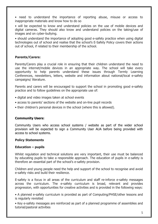• need to understand the importance of reporting abuse, misuse or access to inappropriate materials and know how to do so

• will be expected to know and understand policies on the use of mobile devices and digital cameras. They should also know and understand policies on the taking/use of images and on cyber-bullying.

• should understand the importance of adopting good e-safety practice when using digital technologies out of school and realise that the school's E-Safety Policy covers their actions out of school, if related to their membership of the school.

## **Parents/Carers:**

Parents/Carers play a crucial role in ensuring that their children understand the need to use the internet/mobile devices in an appropriate way. The school will take every opportunity to help parents understand these issues through Termly Learning Conferences, newsletters, letters, website and information about national/local e-safety campaigns/ literature.

Parents and carers will be encouraged to support the school in promoting good e-safety practice and to follow guidelines on the appropriate use of:

- digital and video images taken at school events
- access to parents' sections of the website and on-line pupil records
- their children's personal devices in the school (where this is allowed).

#### **Community Users:**

Community Users who access school systems / website as part of the wider school provision will be expected to sign a Community User AUA before being provided with access to school systems.

#### **Policy Statements**

#### **Education – pupils**

Whilst regulation and technical solutions are very important, their use must be balanced by educating pupils to take a responsible approach. The education of pupils in e-safety is therefore an essential part of the school's e-safety provision.

Children and young people need the help and support of the school to recognise and avoid e-safety risks and build their resilience.

E-safety is a focus in all areas of the curriculum and staff re-inforce e-safety messages across the curriculum. The e-safety curriculum is broad, relevant and provides progression, with opportunities for creative activities and is provided in the following ways:

• A planned e-safety curriculum is provided as part of Computing/PHSE/other lessons and is regularly revisited

• Key e-safety messages are reinforced as part of a planned programme of assemblies and tutorial/pastoral activities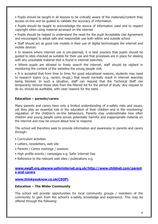• Pupils should be taught in all lessons to be critically aware of the materials/content they access on-line and be guided to validate the accuracy of information.

• Pupils should be taught to acknowledge the source of information used and to respect copyright when using material accessed on the internet

• Pupils should be helped to understand the need for the pupil Acceptable Use Agreement and encouraged to adopt safe and responsible use both within and outside school

• Staff should act as good role models in their use of digital technologies the internet and mobile devices

• In lessons where internet use is pre-planned, it is best practice that pupils should be guided to sites checked as suitable for their use and that processes are in place for dealing with any unsuitable material that is found in internet searches.

• Where pupils are allowed to freely search the internet, staff should be vigilant in monitoring the content of the websites the young people visit.

• It is accepted that from time to time, for good educational reasons, students may need to research topics (e.g. racism, drugs,) that would normally result in internet searches being blocked. In such a situation, staff can request that the Technical Staff can temporarily remove those sites from the filtered list for the period of study. Any request to do so, should be auditable, with clear reasons for the need.

## **Education – parents/carers**

Many parents and carers have only a limited understanding of e-safety risks and issues, yet they play an essential role in the education of their children and in the monitoring/ regulation of the children's on-line behaviours. Parents may underestimate how often children and young people come across potentially harmful and inappropriate material on the internet and may be unsure about how to respond.

The school will therefore seek to provide information and awareness to parents and carers through:

- Curriculum activities
- Letters, newsletters, web site
- Parents / Carers evenings / sessions
- High profile events / campaigns e.g. Safer Internet Day
- Reference to the relevant web sites / publications e.g.

#### **[www.swgfl.org.ukwww.saferinternet.org.uk/http://www.childnet.com/parent](http://www.swgfl.org.ukwww.saferinternet.org.uk/http:/www.childnet.com/parents-and-carers) [s-and-carers](http://www.swgfl.org.ukwww.saferinternet.org.uk/http:/www.childnet.com/parents-and-carers)**

## **[www.thinkyouknow.co.uk\(CEOP\)](http://www.thinkyouknow.co.uk(ceop)/)**

#### **Education – The Wider Community**

The school will provide opportunities for local community groups / members of the community to gain from the school's e-safety knowledge and experience. This may be offered through the following: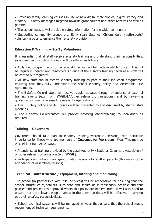• Providing family learning courses in use of new digital technologies, digital literacy and e-safety. E-Safety messages targeted towards grandparents and other relatives as well as parents.

• The school website will provide e-safety information for the wider community

• Supporting community groups e.g. Early Years Settings, Childminders, youth/sports/ voluntary groups to enhance their e-safety provision.

## **Education & Training – Staff / Volunteers**

It is essential that all staff receive e-safety training and understand their responsibilities, as outlined in this policy. Training will be offered as follows:

• A planned programme of formal e-safety training will be made available to staff. This will be regularly updated and reinforced. An audit of the e-safety training needs of all staff will be carried out regularly.

• All new staff should receive e-safety training as part of their induction programme, ensuring that they fully understand the school e-safety policy and Acceptable Use Agreements.

• The E-Safety Co-ordinators will receive regular updates through attendance at external training events (e.g. from SWGfL/LA/other relevant organisations) and by reviewing guidance documents released by relevant organisations.

• This E-Safety policy and its updates will be presented to and discussed by staff in staff meetings.

• The E-Safety Co-ordinators will provide advice/guidance/training to individuals as required.

## **Training – Governors**

Governors should take part in e-safety training/awareness sessions, with particular importance for those who are members of Outcomes for Pupils committee. This may be offered in a number of ways:

• Attendance at training provided by the Local Authority / National Governors Association / or other relevant organisation (e.g. SWGfL).

• Participation in school training/information sessions for staff or parents (this may include attendance at assemblies/lessons).

## **Technical – infrastructure / equipment, filtering and monitoring**

The school (in partnership with JSPC Services) will be responsible for ensuring that the school infrastructure/network is as safe and secure as is reasonably possible and that policies and procedures approved within this policy are implemented. It will also need to ensure that the relevant people named in the above sections will be effective in carrying out their e-safety responsibilities:

• School technical systems will be managed in ways that ensure that the school meets recommended technical requirements.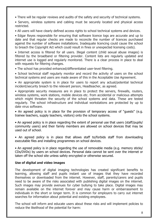- There will be regular reviews and audits of the safety and security of technical systems.
- Servers, wireless systems and cabling must be securely located and physical access restricted.
- All users will have clearly defined access rights to school technical systems and devices.

• Edgar Reyes responsible for ensuring that software licence logs are accurate and up to date and that regular checks are made to reconcile the number of licences purchased against the number of software installations. Inadequate licencing could cause the school to breach the Copyright Act which could result in fines or unexpected licensing costs).

• Internet access is filtered for all users. Illegal content (child sexual abuse images) is filtered by the broadband or filtering provider. Content lists are regularly updated and internet use is logged and regularly monitored. There is a clear process in place to deal with requests for filtering changes.

• The school has provided enhanced/differentiated user-level filtering.

• School technical staff regularly monitor and record the activity of users on the school technical systems and users are made aware of this in the Acceptable Use Agreement.

• An appropriate system is in place for users to report any actual/potential technical incident/security breach to the relevant person, Headteacher, as agreed.

• Appropriate security measures are in place to protect the servers, firewalls, routers, wireless systems, work stations, mobile devices etc. from accidental or malicious attempts which might threaten the security of the school systems and data. These are tested regularly. The school infrastructure and individual workstations are protected by up to date virus software.

• An agreed policy is in place for the provision of temporary access of "guests" (e.g. trainee teachers, supply teachers, visitors) onto the school systems.

• An agreed policy is in place regarding the extent of personal use that users (staff/pupils/ community users) and their family members are allowed on school devices that may be used out of school.

• An agreed policy is in place that allows staff to/forbids staff from downloading executable files and installing programmes on school devices.

• An agreed policy is in place regarding the use of removable media (e.g. memory sticks/ CDs/DVDs) by users on school devices. Personal data cannot be sent over the internet or taken off the school site unless safely encrypted or otherwise secured.

#### **Use of digital and video images**

The development of digital imaging technologies has created significant benefits to learning, allowing staff and pupils instant use of images that they have recorded themselves or downloaded from the internet. However, staff, parents/carers and pupils need to be aware of the risks associated with publishing digital images on the internet. Such images may provide avenues for cyber bullying to take place. Digital images may remain available on the internet forever and may cause harm or embarrassment to individuals in the short or longer term. It is common for employers to carry out internet searches for information about potential and existing employees.

The school will inform and educate users about these risks and will implement policies to reduce the likelihood of the potential for harm: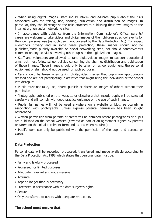• When using digital images, staff should inform and educate pupils about the risks associated with the taking, use, sharing, publication and distribution of images. In particular, they should recognise the risks attached to publishing their own images on the internet e.g. on social networking sites.

• In accordance with guidance from the Information Commissioner's Office, parents/ carers are welcome to take videos and digital images of their children at school events for their own personal use (as such use in not covered by the Data Protection Act). To respect everyone's privacy and in some cases protection, these images should not be published/made publicly available on social networking sites, nor should parents/carers comment on any activities involving other pupils in the digital/video images.

• Staff and volunteers are allowed to take digital/video images to support educational aims, but must follow school policies concerning the sharing, distribution and publication of those images. Those images should only be taken on school equipment; the personal equipment of staff should not be used for such purposes.

• Care should be taken when taking digital/video images that pupils are appropriately dressed and are not participating in activities that might bring the individuals or the school into disrepute.

• Pupils must not take, use, share, publish or distribute images of others without their permission

• Photographs published on the website, or elsewhere that include pupils will be selected carefully and will comply with good practice guidance on the use of such images.

• Pupils' full names will not be used anywhere on a website or blog, particularly in association with photographs, unless express parental permission has been sought beforehand.

• Written permission from parents or carers will be obtained before photographs of pupils are published on the school website (covered as part of an agreement signed by parents or carers on the initial enrolment form and as and when required).

• Pupil's work can only be published with the permission of the pupil and parents or carers.

#### **Data Protection**

Personal data will be recorded, processed, transferred and made available according to the Data Protection Act 1998 which states that personal data must be:

- Fairly and lawfully processed
- Processed for limited purposes
- Adequate, relevant and not excessive
- Accurate
- Kept no longer than is necessary
- Processed in accordance with the data subject's rights
- Secure
- Only transferred to others with adequate protection.

#### **The school must ensure that:**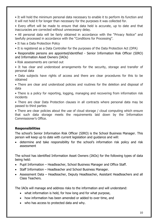• It will hold the minimum personal data necessary to enable it to perform its function and it will not hold it for longer than necessary for the purposes it was collected for.

• Every effort will be made to ensure that data held is accurate, up to date and that inaccuracies are corrected without unnecessary delay.

• All personal data will be fairly obtained in accordance with the "Privacy Notice" and lawfully processed in accordance with the "Conditions for Processing".

- It has a Data Protection Policy
- It is registered as a Data Controller for the purposes of the Data Protection Act (DPA)

• Responsible persons are appointed/identified - Senior Information Risk Officer (SIRO) and Information Asset Owners (IAOs)

- Risk assessments are carried out
- It has clear and understood arrangements for the security, storage and transfer of personal data

• Data subjects have rights of access and there are clear procedures for this to be obtained

• There are clear and understood policies and routines for the deletion and disposal of data

• There is a policy for reporting, logging, managing and recovering from information risk incidents

• There are clear Data Protection clauses in all contracts where personal data may be passed to third parties

• There are clear policies about the use of cloud storage / cloud computing which ensure that such data storage meets the requirements laid down by the Information Commissioner's Office.

## **Responsibilities**

The school's Senior Information Risk Officer (SIRO) is the School Business Manager. This person will keep up to date with current legislation and guidance and will:

 determine and take responsibility for the school's information risk policy and risk assessment

The school has identified Information Asset Owners (IAOs) for the following types of data being held:

- Pupil Information Headteacher, School Business Manager and Office Staff.
- Staff Information Headteacher and School Business Manager.
- Assessment Data Headteacher, Deputy Headteacher, Assistant Headteachers and all Class Teachers.

The IAOs will manage and address risks to the information and will understand:

- what information is held, for how long and for what purpose,
- how information has been amended or added to over time, and
- who has access to protected data and why.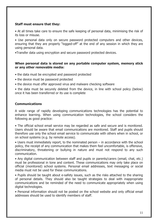## **Staff must ensure that they:**

• At all times take care to ensure the safe keeping of personal data, minimising the risk of its loss or misuse.

• Use personal data only on secure password protected computers and other devices, ensuring that they are properly "logged-off" at the end of any session in which they are using personal data.

•Transfer data using encryption and secure password protected devices.

#### **When personal data is stored on any portable computer system, memory stick or any other removable media:**

- the data must be encrypted and password protected
- the device must be password protected
- the device must offer approved virus and malware checking software

• the data must be securely deleted from the device, in line with school policy (below) once it has been transferred or its use is complete

#### **Communications**

A wide range of rapidly developing communications technologies has the potential to enhance learning. When using communication technologies, the school considers the following as good practice:

• The official school email service may be regarded as safe and secure and is monitored. Users should be aware that email communications are monitored. Staff and pupils should therefore use only the school email service to communicate with others when in school, or on school systems (e.g. by remote access).

• Users must immediately report, to the nominated person – in accordance with the school policy, the receipt of any communication that makes them feel uncomfortable, is offensive, discriminatory, threatening or bullying in nature and must not respond to any such communication.

• Any digital communication between staff and pupils or parents/carers (email, chat, etc.) must be professional in tone and content. These communications may only take place on official (monitored) school systems. Personal email addresses, text messaging or social media must not be used for these communications.

• Pupils should be taught about e-safety issues, such as the risks attached to the sharing of personal details. They should also be taught strategies to deal with inappropriate communications and be reminded of the need to communicate appropriately when using digital technologies.

• Personal information should not be posted on the school website and only official email addresses should be used to identify members of staff.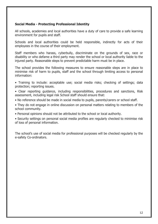## **Social Media - Protecting Professional Identity**

All schools, academies and local authorities have a duty of care to provide a safe learning environment for pupils and staff.

Schools and local authorities could be held responsible, indirectly for acts of their employees in the course of their employment.

Staff members who harass, cyberbully, discriminate on the grounds of sex, race or disability or who defame a third party may render the school or local authority liable to the injured party. Reasonable steps to prevent predictable harm must be in place.

The school provides the following measures to ensure reasonable steps are in place to minimise risk of harm to pupils, staff and the school through limiting access to personal information:

- Training to include: acceptable use; social media risks; checking of settings; data protection; reporting issues.
- Clear reporting guidance, including responsibilities, procedures and sanctions, Risk assessment, including legal risk School staff should ensure that:
- No reference should be made in social media to pupils, parents/carers or school staff.
- They do not engage in online discussion on personal matters relating to members of the school community.
- Personal opinions should not be attributed to the school or local authority.
- Security settings on personal social media profiles are regularly checked to minimise risk of loss of personal information.

The school's use of social media for professional purposes will be checked regularly by the e-safety Co-ordinators.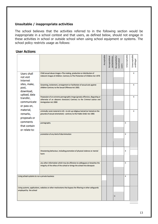## **Unsuitable / inappropriate activities**

The school believes that the activities referred to in the following section would be inappropriate in a school context and that users, as defined below, should not engage in these activities in school or outside school when using school equipment or systems. The school policy restricts usage as follows:

## **User Actions**

|                                                                                                                                                                                       |                                                                                                                                                                                         | Acceptable | Acceptableat<br>certaintimes | Acceptablefor<br>nominated<br>users | Unacceptable | Unacceptable<br>andillegal |
|---------------------------------------------------------------------------------------------------------------------------------------------------------------------------------------|-----------------------------------------------------------------------------------------------------------------------------------------------------------------------------------------|------------|------------------------------|-------------------------------------|--------------|----------------------------|
| <b>Users shall</b><br>not visit<br>Internet<br>sites, make,<br>post,<br>download,<br>upload, data<br>transfer,<br>communicate<br>or pass on,<br>material,<br>remarks,<br>proposals or | Child sexual abuse images - The making, production or distribution of<br>indecent images of children. Contrary to The Protection of Children Act 1978                                   |            |                              |                                     |              | x                          |
|                                                                                                                                                                                       | Grooming, incitement, arrangement or facilitation of sexual acts against<br>children Contrary to the Sexual Offences Act 2003.                                                          |            |                              |                                     |              | x                          |
|                                                                                                                                                                                       | Possession of an extreme pornographic image (grossly offensive, disgusting or<br>otherwise of an obscene character) Contrary to the Criminal Justice and<br><b>Immigration Act 2008</b> |            |                              |                                     |              | x                          |
|                                                                                                                                                                                       | criminally racist material in UK - to stir up religious hatred (or hatred on the<br>grounds of sexual orientation) - contrary to the Public Order Act 1986                              |            |                              |                                     |              | x                          |
| comments<br>that contain<br>or relate to:                                                                                                                                             | pornography                                                                                                                                                                             |            |                              |                                     | x            |                            |
|                                                                                                                                                                                       | promotion of any kind of discrimination                                                                                                                                                 |            |                              |                                     | x            |                            |
|                                                                                                                                                                                       | threatening behaviour, including promotion of physical violence or mental<br>harm                                                                                                       |            |                              |                                     | x            |                            |
|                                                                                                                                                                                       | any other information which may be offensive to colleagues or breaches the<br>integrity of the ethos of the school or brings the school into disrepute                                  |            |                              |                                     | x            |                            |
|                                                                                                                                                                                       | Using school systems to run a private business                                                                                                                                          |            |                              |                                     | x            |                            |
| Using systems, applications, websites or other mechanisms that bypass the filtering or other safeguards<br>employed by the school                                                     |                                                                                                                                                                                         |            |                              | x                                   |              |                            |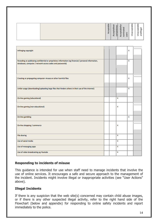|                                                                                                                                                                     | Acceptable | Acceptableat | Acceptablefor<br>certaintimes<br>nominated<br>users | Unacceptable | Unacceptable<br>andillegal |
|---------------------------------------------------------------------------------------------------------------------------------------------------------------------|------------|--------------|-----------------------------------------------------|--------------|----------------------------|
|                                                                                                                                                                     |            |              |                                                     |              |                            |
| Infringing copyright                                                                                                                                                |            |              |                                                     | x            |                            |
| Revealing or publicising confidential or proprietary information (eg financial / personal information,<br>databases, computer / network access codes and passwords) |            |              |                                                     | x            |                            |
| Creating or propagating computer viruses or other harmful files                                                                                                     |            |              |                                                     | x            |                            |
| Unfair usage (downloading/uploading large files that hinders others in their use of the internet)                                                                   |            |              |                                                     | x            |                            |
| On-line gaming (educational)                                                                                                                                        |            |              | x                                                   |              |                            |
| On-line gaming (non educational)                                                                                                                                    |            |              | X                                                   |              |                            |
| On-line gambling                                                                                                                                                    |            |              |                                                     | x            |                            |
| On-line shopping / commerce                                                                                                                                         |            |              | x                                                   |              |                            |
| <b>File sharing</b>                                                                                                                                                 |            |              | X                                                   |              |                            |
| Use of social media                                                                                                                                                 |            |              | x                                                   |              |                            |
| Use of messaging apps                                                                                                                                               |            |              | x                                                   |              |                            |
| Use of video broadcasting eg Youtube                                                                                                                                |            |              | x                                                   |              |                            |

## **Responding to incidents of misuse**

This guidance is intended for use when staff need to manage incidents that involve the use of online services. It encourages a safe and secure approach to the management of the incident. Incidents might involve illegal or inappropriate activities (see "User Actions" above).

#### **Illegal Incidents**

If there is any suspicion that the web site(s) concerned may contain child abuse images, or if there is any other suspected illegal activity, refer to the right hand side of the Flowchart (below and appendix) for responding to online safety incidents and report immediately to the police.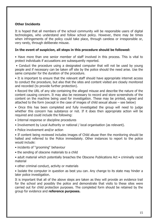#### **Other Incidents**

It is hoped that all members of the school community will be responsible users of digital technologies, who understand and follow school policy. However, there may be times when infringements of the policy could take place, through careless or irresponsible or, very rarely, through deliberate misuse.

#### **In the event of suspicion, all steps in this procedure should be followed:**

• Have more than one senior member of staff involved in this process. This is vital to protect individuals if accusations are subsequently reported.

• Conduct the procedure using a designated computer that will not be used by young people and if necessary can be taken off site by the police should the need arise. Use the same computer for the duration of the procedure.

• It is important to ensure that the relevant staff should have appropriate internet access to conduct the procedure, but also that the sites and content visited are closely monitored and recorded (to provide further protection).

• Record the URL of any site containing the alleged misuse and describe the nature of the content causing concern. It may also be necessary to record and store screenshots of the content on the machine being used for investigation. These may be printed, signed and attached to the form (except in the case of images of child sexual abuse – see below)

• Once this has been completed and fully investigated the group will need to judge whether this concern has substance or not. If it does then appropriate action will be required and could include the following:

- Internal response or discipline procedures
- Involvement by Local Authority or national / local organisation (as relevant).
- Police involvement and/or action

• If content being reviewed includes images of Child abuse then the monitoring should be halted and referred to the Police immediately. Other instances to report to the police would include:

- incidents of "grooming" behaviour
- the sending of obscene materials to a child
- adult material which potentially breaches the Obscene Publications Act criminally racist material
- other criminal conduct, activity or materials
- Isolate the computer in question as best you can. Any change to its state may hinder a later police investigation.

It is important that all of the above steps are taken as they will provide an evidence trail for the school and possibly the police and demonstrate that visits to these sites were carried out for child protection purposes. The completed form should be retained by the group for evidence and **reference purposes.**